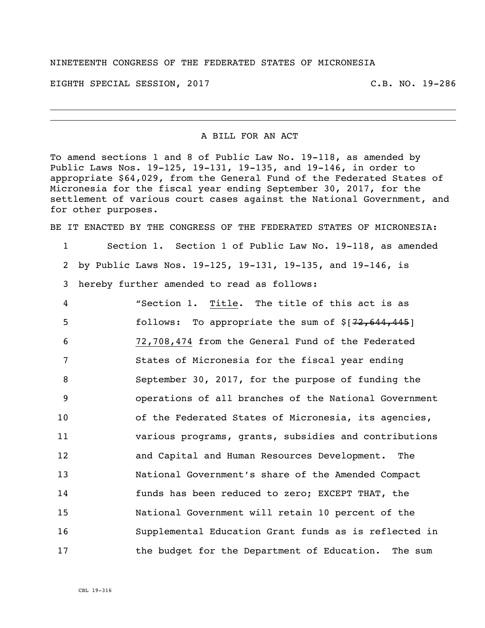## NINETEENTH CONGRESS OF THE FEDERATED STATES OF MICRONESIA

EIGHTH SPECIAL SESSION, 2017 C.B. NO. 19-286

## A BILL FOR AN ACT

To amend sections 1 and 8 of Public Law No. 19-118, as amended by Public Laws Nos. 19-125, 19-131, 19-135, and 19-146, in order to appropriate \$64,029, from the General Fund of the Federated States of Micronesia for the fiscal year ending September 30, 2017, for the settlement of various court cases against the National Government, and for other purposes.

BE IT ENACTED BY THE CONGRESS OF THE FEDERATED STATES OF MICRONESIA:

1 Section 1. Section 1 of Public Law No. 19-118, as amended 2 by Public Laws Nos. 19-125, 19-131, 19-135, and 19-146, is 3 hereby further amended to read as follows:

 "Section 1. Title. The title of this act is as **follows:** To appropriate the sum of \$[72,644,445] 72,708,474 from the General Fund of the Federated States of Micronesia for the fiscal year ending September 30, 2017, for the purpose of funding the operations of all branches of the National Government of the Federated States of Micronesia, its agencies, various programs, grants, subsidies and contributions and Capital and Human Resources Development. The National Government's share of the Amended Compact funds has been reduced to zero; EXCEPT THAT, the National Government will retain 10 percent of the Supplemental Education Grant funds as is reflected in 17 the budget for the Department of Education. The sum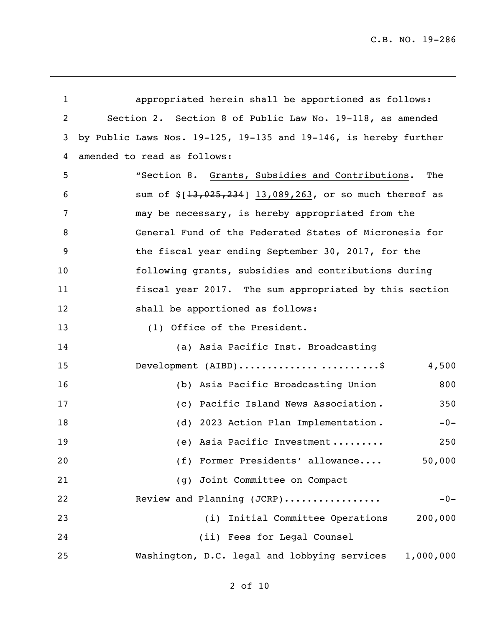| $\mathbf{1}$   | appropriated herein shall be apportioned as follows:                     |  |  |
|----------------|--------------------------------------------------------------------------|--|--|
| $\overline{2}$ | Section 2. Section 8 of Public Law No. 19-118, as amended                |  |  |
| 3              | by Public Laws Nos. $19-125$ , $19-135$ and $19-146$ , is hereby further |  |  |
| 4              | amended to read as follows:                                              |  |  |
| 5              | "Section 8. Grants, Subsidies and Contributions.<br>The                  |  |  |
| 6              | sum of \$[13,025,234] 13,089,263, or so much thereof as                  |  |  |
| 7              | may be necessary, is hereby appropriated from the                        |  |  |
| 8              | General Fund of the Federated States of Micronesia for                   |  |  |
| 9              | the fiscal year ending September 30, 2017, for the                       |  |  |
| 10             | following grants, subsidies and contributions during                     |  |  |
| 11             | fiscal year 2017. The sum appropriated by this section                   |  |  |
| 12             | shall be apportioned as follows:                                         |  |  |
| 13             | (1) Office of the President.                                             |  |  |
| 14             | (a) Asia Pacific Inst. Broadcasting                                      |  |  |
| 15             | Development (AIBD)\$<br>4,500                                            |  |  |
| 16             | (b) Asia Pacific Broadcasting Union<br>800                               |  |  |
| 17             | (c) Pacific Island News Association.<br>350                              |  |  |
| 18             | (d) 2023 Action Plan Implementation.<br>$-0-$                            |  |  |
| 19             | (e) Asia Pacific Investment<br>250                                       |  |  |
| 20             | 50,000<br>(f) Former Presidents' allowance                               |  |  |
| 21             | (g) Joint Committee on Compact                                           |  |  |
| 22             | Review and Planning (JCRP)<br>$-0-$                                      |  |  |
| 23             | (i) Initial Committee Operations<br>200,000                              |  |  |
| 24             | (ii) Fees for Legal Counsel                                              |  |  |
| 25             | Washington, D.C. legal and lobbying services<br>1,000,000                |  |  |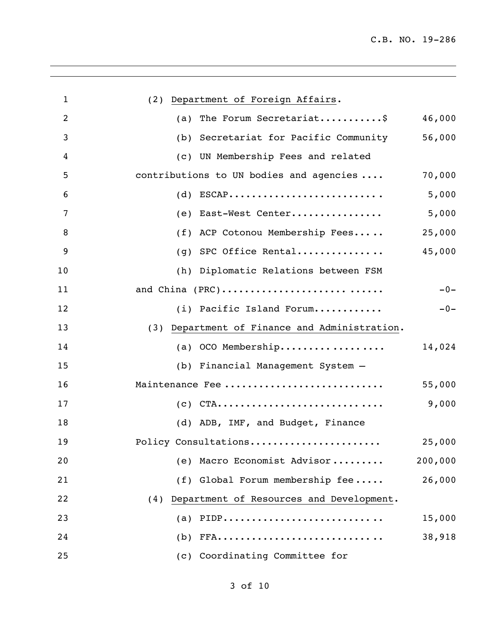| $\mathbf{1}$   | (2) Department of Foreign Affairs.              |         |
|----------------|-------------------------------------------------|---------|
| $\overline{2}$ | (a) The Forum Secretariat\$                     | 46,000  |
| 3              | (b) Secretariat for Pacific Community           | 56,000  |
| 4              | (c) UN Membership Fees and related              |         |
| 5              | contributions to UN bodies and agencies         | 70,000  |
| 6              | $(d)$ ESCAP                                     | 5,000   |
| 7              | (e) East-West Center                            | 5,000   |
| 8              | (f) ACP Cotonou Membership Fees                 | 25,000  |
| 9              | $(g)$ SPC Office Rental                         | 45,000  |
| 10             | (h) Diplomatic Relations between FSM            |         |
| 11             | and China (PRC)                                 | $-0-$   |
| 12             | (i) Pacific Island Forum                        | $-0-$   |
| 13             | (3) Department of Finance and Administration.   |         |
| 14             | (a) OCO Membership                              | 14,024  |
| 15             | (b) Financial Management System -               |         |
| 16             | Maintenance Fee                                 |         |
| 17             | $(c)$ CTA                                       | 9,000   |
| 18             | (d) ADB, IMF, and Budget, Finance               |         |
| 19             | Policy Consultations                            | 25,000  |
| 20             | (e) Macro Economist Advisor                     | 200,000 |
| 21             | (f) Global Forum membership fee                 | 26,000  |
| 22             | Department of Resources and Development.<br>(4) |         |
| 23             | PIDP<br>(a)                                     | 15,000  |
| 24             | (b)                                             | 38,918  |
| 25             | (c) Coordinating Committee for                  |         |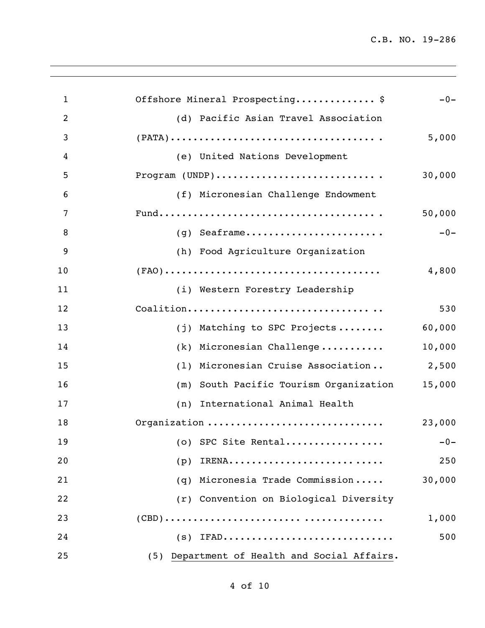C.B. NO. 19-286

| $\mathbf{1}$   | Offshore Mineral Prospecting\$<br>$-0-$                                                                       |
|----------------|---------------------------------------------------------------------------------------------------------------|
| $\overline{2}$ | (d) Pacific Asian Travel Association                                                                          |
| 3              | $(PATA) \dots \dots \dots \dots \dots \dots \dots \dots \dots \dots \dots \dots \dots$<br>5,000               |
| $\overline{4}$ | (e) United Nations Development                                                                                |
| 5              | Program (UNDP)<br>30,000                                                                                      |
| 6              | (f) Micronesian Challenge Endowment                                                                           |
| 7              | 50,000                                                                                                        |
| 8              | $(g)$ Seaframe<br>$-0-$                                                                                       |
| 9              | (h) Food Agriculture Organization                                                                             |
| 10             | $(\texttt{FAO}) \dots \dots \dots \dots \dots \dots \dots \dots \dots \dots \dots \dots \dots \dots$<br>4,800 |
| 11             | (i) Western Forestry Leadership                                                                               |
| 12             | Coalition<br>530                                                                                              |
| 13             | 60,000<br>(j) Matching to SPC Projects                                                                        |
| 14             | (k) Micronesian Challenge<br>10,000                                                                           |
| 15             | Micronesian Cruise Association<br>2,500<br>(1)                                                                |
| 16             | (m) South Pacific Tourism Organization<br>15,000                                                              |
| 17             | (n) International Animal Health                                                                               |
| 18             | Organization<br>23,000                                                                                        |
| 19             | (o) SPC Site Rental<br>$-0-$                                                                                  |
| 20             | 250<br>(p)                                                                                                    |
| 21             | Micronesia Trade Commission<br>30,000<br>(q)                                                                  |
| 22             | (r) Convention on Biological Diversity                                                                        |
| 23             | 1,000                                                                                                         |
| 24             | 500<br>$(s)$ IFAD                                                                                             |
| 25             | (5) Department of Health and Social Affairs.                                                                  |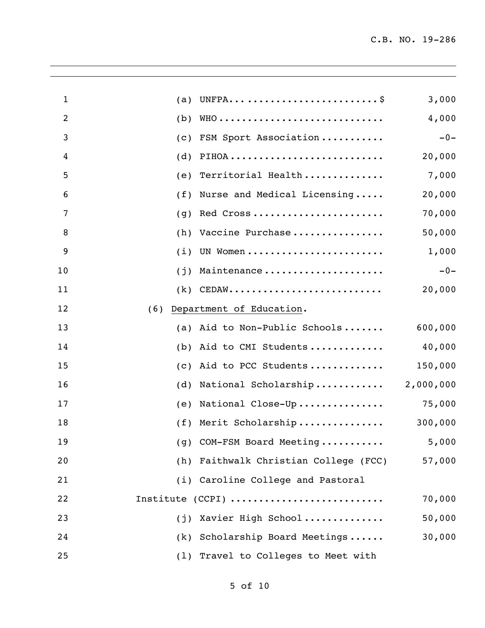| $\mathbf{1}$ | (a) |                                                                              | 3,000     |
|--------------|-----|------------------------------------------------------------------------------|-----------|
| 2            | (b) |                                                                              | 4,000     |
| 3            | (c) | FSM Sport Association                                                        | $-0-$     |
| 4            | (d) | PIHOA                                                                        | 20,000    |
| 5            | (e) | Territorial Health                                                           | 7,000     |
| 6            | (f) | Nurse and Medical Licensing                                                  | 20,000    |
| 7            | (q) | Red Cross                                                                    | 70,000    |
| 8            | (h) | Vaccine Purchase                                                             | 50,000    |
| 9            | (i) | UN Women                                                                     | 1,000     |
| 10           | (j) | Maintenance                                                                  | $-0-$     |
| 11           | (k) | $\texttt{CEDAW} \dots \dots \dots \dots \dots \dots \dots \dots \dots \dots$ | 20,000    |
| 12           | (6) | Department of Education.                                                     |           |
| 13           | (a) | Aid to Non-Public Schools                                                    | 600,000   |
| 14           | (b) | Aid to CMI Students                                                          | 40,000    |
| 15           | (C) | Aid to PCC Students                                                          | 150,000   |
| 16           | (d) | National Scholarship                                                         | 2,000,000 |
| 17           | (e) | National Close-Up                                                            | 75,000    |
| 18           |     | (f) Merit Scholarship                                                        | 300,000   |
| 19           |     | (g) COM-FSM Board Meeting                                                    | 5,000     |
| 20           |     | (h) Faithwalk Christian College (FCC)                                        | 57,000    |
| 21           |     | (i) Caroline College and Pastoral                                            |           |
| 22           |     | Institute (CCPI)                                                             | 70,000    |
| 23           |     | (j) Xavier High School                                                       | 50,000    |
| 24           |     | (k) Scholarship Board Meetings                                               | 30,000    |
| 25           |     | (1) Travel to Colleges to Meet with                                          |           |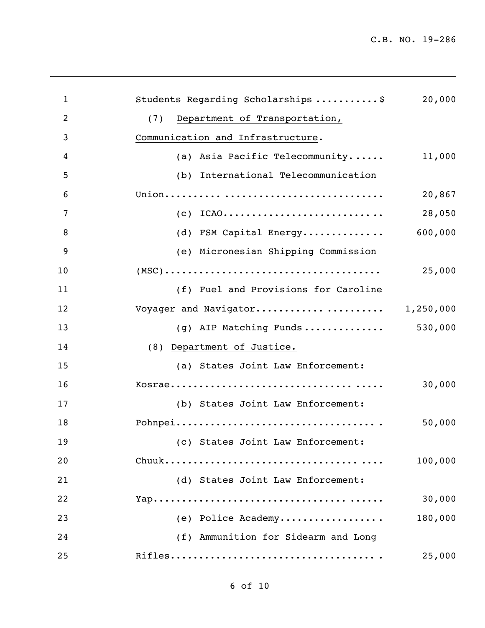| $\mathbf{1}$   | Students Regarding Scholarships \$                                                                 | 20,000  |
|----------------|----------------------------------------------------------------------------------------------------|---------|
| $\overline{2}$ | Department of Transportation,<br>(7)                                                               |         |
| 3              | Communication and Infrastructure.                                                                  |         |
| 4              | (a) Asia Pacific Telecommunity                                                                     | 11,000  |
| 5              | (b) International Telecommunication                                                                |         |
| 6              |                                                                                                    | 20,867  |
| 7              | $(c)$ ICAO                                                                                         | 28,050  |
| 8              | (d) FSM Capital Energy                                                                             | 600,000 |
| 9              | (e) Micronesian Shipping Commission                                                                |         |
| 10             | $(MSC) \ldots \ldots \ldots \ldots \ldots \ldots \ldots \ldots \ldots \ldots \ldots \ldots \ldots$ | 25,000  |
| 11             | (f) Fuel and Provisions for Caroline                                                               |         |
| 12             | Voyager and Navigator 1,250,000                                                                    |         |
| 13             | (g) AIP Matching Funds                                                                             | 530,000 |
| 14             | (8) Department of Justice.                                                                         |         |
| 15             | (a) States Joint Law Enforcement:                                                                  |         |
| 16             |                                                                                                    | 30,000  |
| 17             | (b) States Joint Law Enforcement:                                                                  |         |
| 18             |                                                                                                    | 50,000  |
| 19             | (c) States Joint Law Enforcement:                                                                  |         |
| 20             |                                                                                                    | 100,000 |
| 21             | (d) States Joint Law Enforcement:                                                                  |         |
| 22             |                                                                                                    | 30,000  |
| 23             | (e) Police Academy                                                                                 | 180,000 |
| 24             | (f) Ammunition for Sidearm and Long                                                                |         |
| 25             |                                                                                                    | 25,000  |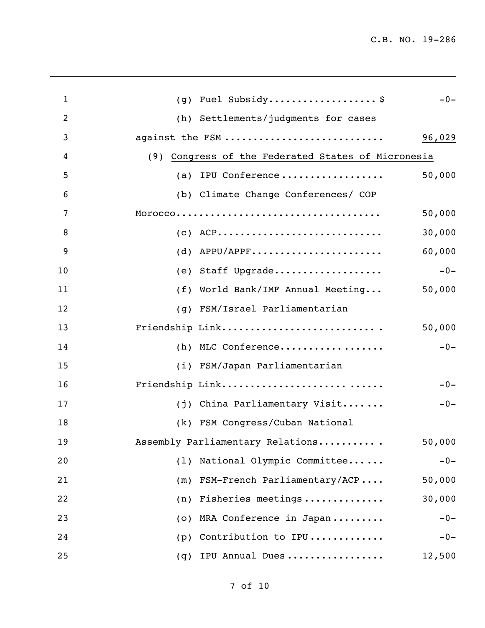| Fuel Subsidy\$<br>$-0-$<br>(q)                     |
|----------------------------------------------------|
| (h) Settlements/judgments for cases                |
| against the FSM<br>96,029                          |
| (9) Congress of the Federated States of Micronesia |
| IPU Conference<br>50,000<br>(a)                    |
| (b) Climate Change Conferences/ COP                |
| 50,000                                             |
| $(c)$ ACP<br>30,000                                |
| $(d)$ APPU/APPF<br>60,000                          |
| (e) Staff Upgrade<br>$-0-$                         |
| (f) World Bank/IMF Annual Meeting<br>50,000        |
| (g) FSM/Israel Parliamentarian                     |
| Friendship Link<br>50,000                          |
| (h) MLC Conference<br>$-0-$                        |
| (i) FSM/Japan Parliamentarian                      |
| Friendship Link<br>$-0-$                           |
| (j) China Parliamentary Visit<br>$-0-$             |
| (k) FSM Congress/Cuban National                    |
| Assembly Parliamentary Relations<br>50,000         |
| National Olympic Committee<br>$-0-$<br>(1)         |
| FSM-French Parliamentary/ACP<br>50,000<br>(m)      |
| Fisheries meetings<br>30,000<br>(n)                |
| MRA Conference in Japan<br>$-0-$<br>(0)            |
| Contribution to IPU<br>$-0-$<br>(p)                |
| IPU Annual Dues<br>12,500<br>(q)                   |
|                                                    |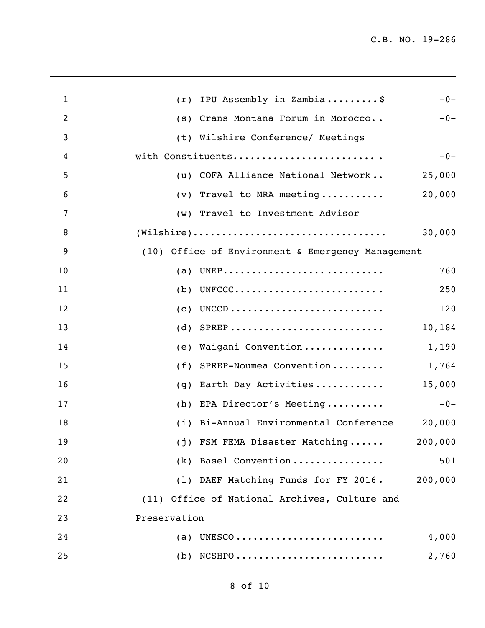| $\mathbf 1$    | IPU Assembly in Zambia\$<br>$-0-$<br>(r)                                                          |
|----------------|---------------------------------------------------------------------------------------------------|
| $\overline{c}$ | Crans Montana Forum in Morocco<br>$-0-$<br>(s)                                                    |
| 3              | (t) Wilshire Conference/ Meetings                                                                 |
| 4              | with Constituents<br>$-0-$                                                                        |
| 5              | COFA Alliance National Network<br>25,000<br>(u)                                                   |
| 6              | 20,000<br>Travel to MRA meeting<br>(v)                                                            |
| 7              | Travel to Investment Advisor<br>(w)                                                               |
| 8              | $(\texttt{Wilshire}) \dots \dots \dots \dots \dots \dots \dots \dots \dots \dots \dots$<br>30,000 |
| 9              | (10) Office of Environment & Emergency Management                                                 |
| 10             | UNEP<br>760<br>(a)                                                                                |
| 11             | UNFCCC<br>(b)<br>250                                                                              |
| 12             | 120<br>(c)                                                                                        |
| 13             | $SPREP$<br>10,184<br>(d)                                                                          |
| 14             | Waigani Convention<br>1,190<br>(e)                                                                |
| 15             | SPREP-Noumea Convention<br>1,764<br>(f)                                                           |
| 16             | 15,000<br>Earth Day Activities<br>(g)                                                             |
| 17             | EPA Director's Meeting<br>$-0-$<br>(h)                                                            |
| 18             | 20,000<br>(i) Bi-Annual Environmental Conference                                                  |
| 19             | (j) FSM FEMA Disaster Matching<br>200,000                                                         |
| 20             | (k) Basel Convention<br>501                                                                       |
| 21             | (1) DAEF Matching Funds for FY 2016.<br>200,000                                                   |
| 22             | (11) Office of National Archives, Culture and                                                     |
| 23             | Preservation                                                                                      |
| 24             | 4,000<br>(a)                                                                                      |
| 25             | $(b)$ NCSHPO<br>2,760                                                                             |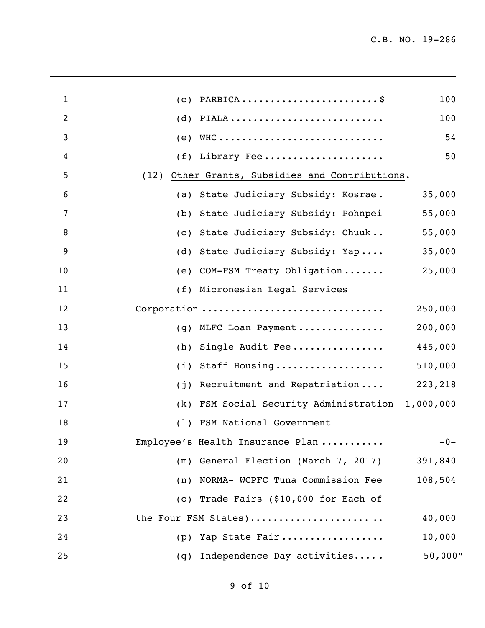| $\mathbf{1}$   | (C)  | PARBICA                                      | 100      |
|----------------|------|----------------------------------------------|----------|
| $\overline{2}$ | (d)  | PIALA                                        | 100      |
| 3              | (e)  |                                              | 54       |
| 4              | (f)  | Library Fee                                  | 50       |
| 5              | (12) | Other Grants, Subsidies and Contributions.   |          |
| 6              | (a)  | State Judiciary Subsidy: Kosrae.             | 35,000   |
| 7              | (b)  | State Judiciary Subsidy: Pohnpei             | 55,000   |
| 8              | (C)  | State Judiciary Subsidy: Chuuk               | 55,000   |
| 9              | (d)  | State Judiciary Subsidy: Yap                 | 35,000   |
| 10             | (e)  | COM-FSM Treaty Obligation                    | 25,000   |
| 11             |      | (f) Micronesian Legal Services               |          |
| 12             |      | Corporation                                  | 250,000  |
| 13             | (q)  | MLFC Loan Payment                            | 200,000  |
| 14             | (h)  | Single Audit Fee                             | 445,000  |
| 15             | (i)  | Staff Housing                                | 510,000  |
| 16             | (j)  | Recruitment and Repatriation                 | 223,218  |
| 17             | (k)  | FSM Social Security Administration 1,000,000 |          |
| 18             | (1)  | FSM National Government                      |          |
| 19             |      | Employee's Health Insurance Plan             | $-0-$    |
| 20             | (m)  | General Election (March 7, 2017)             | 391,840  |
| 21             |      | (n) NORMA- WCPFC Tuna Commission Fee         | 108,504  |
| 22             |      | (o) Trade Fairs (\$10,000 for Each of        |          |
| 23             |      | the Four FSM States)                         | 40,000   |
| 24             | (p)  | Yap State Fair                               | 10,000   |
| 25             | (q)  | Independence Day activities                  | 50,000'' |
|                |      |                                              |          |